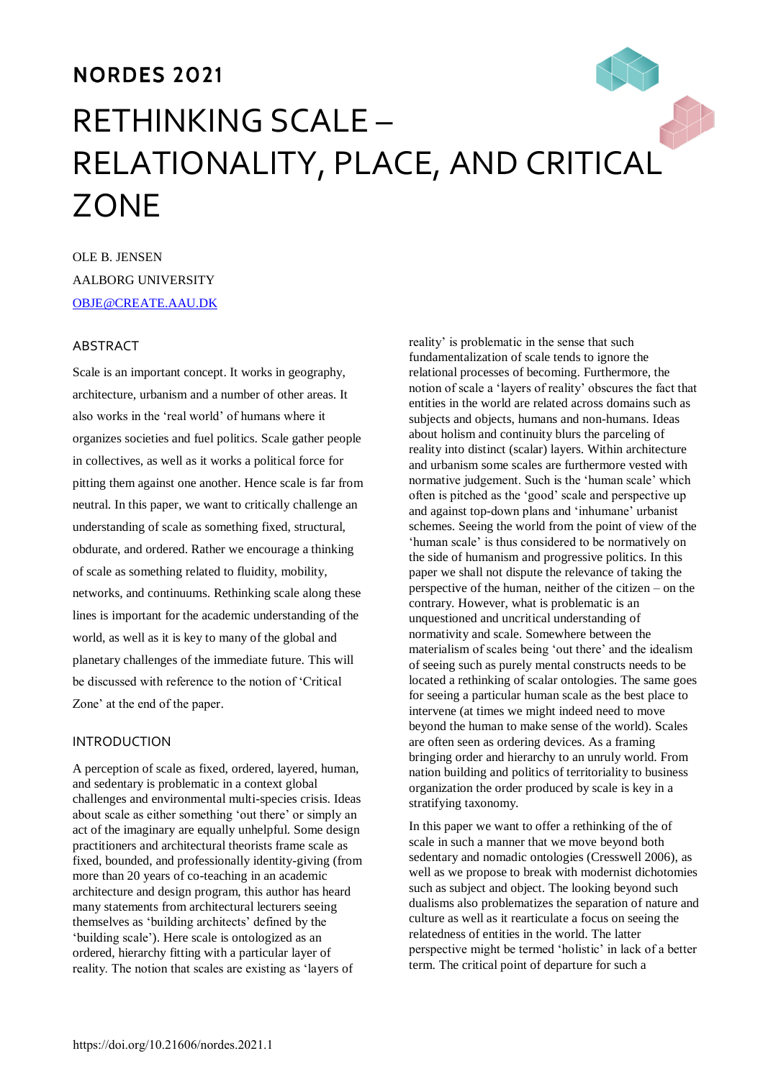# **NORDES 2021** RETHINKING SCALE – RELATIONALITY, PLACE, AND CRITICAL **ZONE**

OLE B. JENSEN AALBORG UNIVERSITY [OBJE@CREATE.AAU.DK](mailto:obje@create.aau.dk)

## **ABSTRACT**

Scale is an important concept. It works in geography, architecture, urbanism and a number of other areas. It also works in the 'real world' of humans where it organizes societies and fuel politics. Scale gather people in collectives, as well as it works a political force for pitting them against one another. Hence scale is far from neutral. In this paper, we want to critically challenge an understanding of scale as something fixed, structural, obdurate, and ordered. Rather we encourage a thinking of scale as something related to fluidity, mobility, networks, and continuums. Rethinking scale along these lines is important for the academic understanding of the world, as well as it is key to many of the global and planetary challenges of the immediate future. This will be discussed with reference to the notion of 'Critical Zone' at the end of the paper.

#### INTRODUCTION

A perception of scale as fixed, ordered, layered, human, and sedentary is problematic in a context global challenges and environmental multi-species crisis. Ideas about scale as either something 'out there' or simply an act of the imaginary are equally unhelpful. Some design practitioners and architectural theorists frame scale as fixed, bounded, and professionally identity-giving (from more than 20 years of co-teaching in an academic architecture and design program, this author has heard many statements from architectural lecturers seeing themselves as 'building architects' defined by the 'building scale'). Here scale is ontologized as an ordered, hierarchy fitting with a particular layer of reality. The notion that scales are existing as 'layers of

reality' is problematic in the sense that such fundamentalization of scale tends to ignore the relational processes of becoming. Furthermore, the notion of scale a 'layers of reality' obscures the fact that entities in the world are related across domains such as subjects and objects, humans and non-humans. Ideas about holism and continuity blurs the parceling of reality into distinct (scalar) layers. Within architecture and urbanism some scales are furthermore vested with normative judgement. Such is the 'human scale' which often is pitched as the 'good' scale and perspective up and against top-down plans and 'inhumane' urbanist schemes. Seeing the world from the point of view of the 'human scale' is thus considered to be normatively on the side of humanism and progressive politics. In this paper we shall not dispute the relevance of taking the perspective of the human, neither of the citizen – on the contrary. However, what is problematic is an unquestioned and uncritical understanding of normativity and scale. Somewhere between the materialism of scales being 'out there' and the idealism of seeing such as purely mental constructs needs to be located a rethinking of scalar ontologies. The same goes for seeing a particular human scale as the best place to intervene (at times we might indeed need to move beyond the human to make sense of the world). Scales are often seen as ordering devices. As a framing bringing order and hierarchy to an unruly world. From nation building and politics of territoriality to business organization the order produced by scale is key in a stratifying taxonomy.

In this paper we want to offer a rethinking of the of scale in such a manner that we move beyond both sedentary and nomadic ontologies (Cresswell 2006), as well as we propose to break with modernist dichotomies such as subject and object. The looking beyond such dualisms also problematizes the separation of nature and culture as well as it rearticulate a focus on seeing the relatedness of entities in the world. The latter perspective might be termed 'holistic' in lack of a better term. The critical point of departure for such a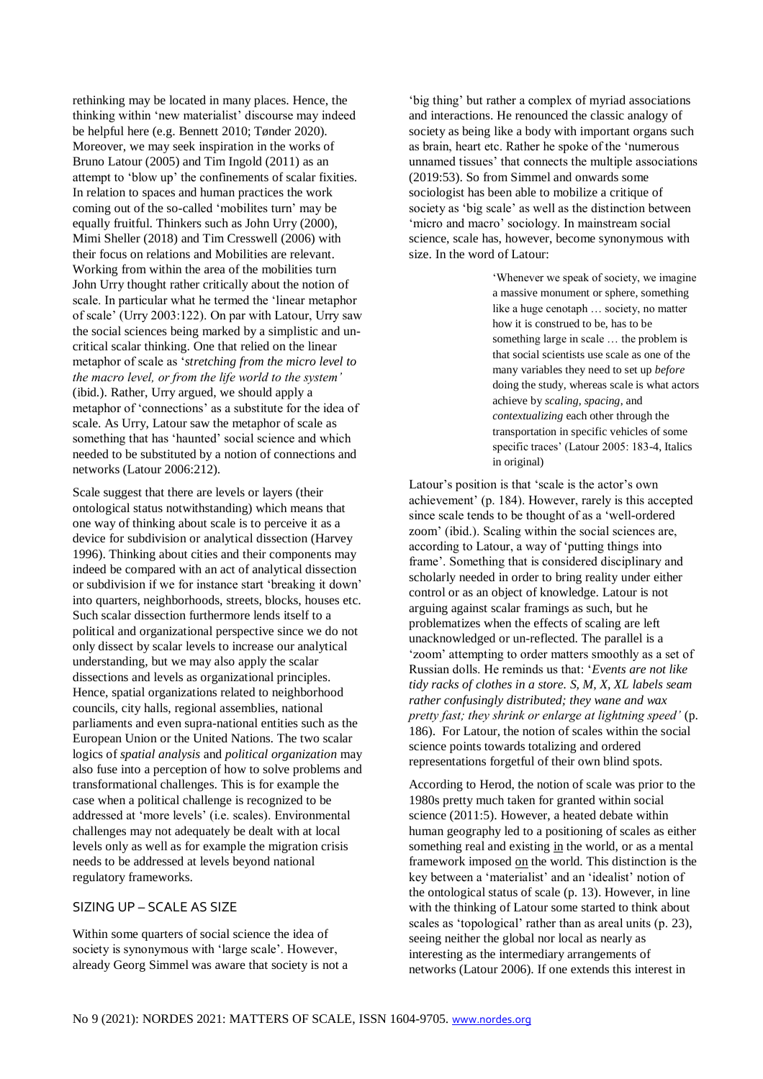rethinking may be located in many places. Hence, the thinking within 'new materialist' discourse may indeed be helpful here (e.g. Bennett 2010; Tønder 2020). Moreover, we may seek inspiration in the works of Bruno Latour (2005) and Tim Ingold (2011) as an attempt to 'blow up' the confinements of scalar fixities. In relation to spaces and human practices the work coming out of the so-called 'mobilites turn' may be equally fruitful. Thinkers such as John Urry (2000), Mimi Sheller (2018) and Tim Cresswell (2006) with their focus on relations and Mobilities are relevant. Working from within the area of the mobilities turn John Urry thought rather critically about the notion of scale. In particular what he termed the 'linear metaphor of scale' (Urry 2003:122). On par with Latour, Urry saw the social sciences being marked by a simplistic and uncritical scalar thinking. One that relied on the linear metaphor of scale as '*stretching from the micro level to the macro level, or from the life world to the system'* (ibid.). Rather, Urry argued, we should apply a metaphor of 'connections' as a substitute for the idea of scale. As Urry, Latour saw the metaphor of scale as something that has 'haunted' social science and which needed to be substituted by a notion of connections and networks (Latour 2006:212).

Scale suggest that there are levels or layers (their ontological status notwithstanding) which means that one way of thinking about scale is to perceive it as a device for subdivision or analytical dissection (Harvey 1996). Thinking about cities and their components may indeed be compared with an act of analytical dissection or subdivision if we for instance start 'breaking it down' into quarters, neighborhoods, streets, blocks, houses etc. Such scalar dissection furthermore lends itself to a political and organizational perspective since we do not only dissect by scalar levels to increase our analytical understanding, but we may also apply the scalar dissections and levels as organizational principles. Hence, spatial organizations related to neighborhood councils, city halls, regional assemblies, national parliaments and even supra-national entities such as the European Union or the United Nations. The two scalar logics of *spatial analysis* and *political organization* may also fuse into a perception of how to solve problems and transformational challenges. This is for example the case when a political challenge is recognized to be addressed at 'more levels' (i.e. scales). Environmental challenges may not adequately be dealt with at local levels only as well as for example the migration crisis needs to be addressed at levels beyond national regulatory frameworks.

#### SIZING UP – SCALE AS SIZE

Within some quarters of social science the idea of society is synonymous with 'large scale'. However, already Georg Simmel was aware that society is not a

'big thing' but rather a complex of myriad associations and interactions. He renounced the classic analogy of society as being like a body with important organs such as brain, heart etc. Rather he spoke of the 'numerous unnamed tissues' that connects the multiple associations (2019:53). So from Simmel and onwards some sociologist has been able to mobilize a critique of society as 'big scale' as well as the distinction between 'micro and macro' sociology. In mainstream social science, scale has, however, become synonymous with size. In the word of Latour:

> 'Whenever we speak of society, we imagine a massive monument or sphere, something like a huge cenotaph … society, no matter how it is construed to be, has to be something large in scale … the problem is that social scientists use scale as one of the many variables they need to set up *before*  doing the study, whereas scale is what actors achieve by *scaling, spacing*, and *contextualizing* each other through the transportation in specific vehicles of some specific traces' (Latour 2005: 183-4, Italics in original)

Latour's position is that 'scale is the actor's own achievement' (p. 184). However, rarely is this accepted since scale tends to be thought of as a 'well-ordered zoom' (ibid.). Scaling within the social sciences are, according to Latour, a way of 'putting things into frame'. Something that is considered disciplinary and scholarly needed in order to bring reality under either control or as an object of knowledge. Latour is not arguing against scalar framings as such, but he problematizes when the effects of scaling are left unacknowledged or un-reflected. The parallel is a 'zoom' attempting to order matters smoothly as a set of Russian dolls. He reminds us that: '*Events are not like tidy racks of clothes in a store. S, M, X, XL labels seam rather confusingly distributed; they wane and wax pretty fast; they shrink or enlarge at lightning speed'* (p. 186). For Latour, the notion of scales within the social science points towards totalizing and ordered representations forgetful of their own blind spots.

According to Herod, the notion of scale was prior to the 1980s pretty much taken for granted within social science (2011:5). However, a heated debate within human geography led to a positioning of scales as either something real and existing in the world, or as a mental framework imposed on the world. This distinction is the key between a 'materialist' and an 'idealist' notion of the ontological status of scale (p. 13). However, in line with the thinking of Latour some started to think about scales as 'topological' rather than as areal units (p. 23), seeing neither the global nor local as nearly as interesting as the intermediary arrangements of networks (Latour 2006). If one extends this interest in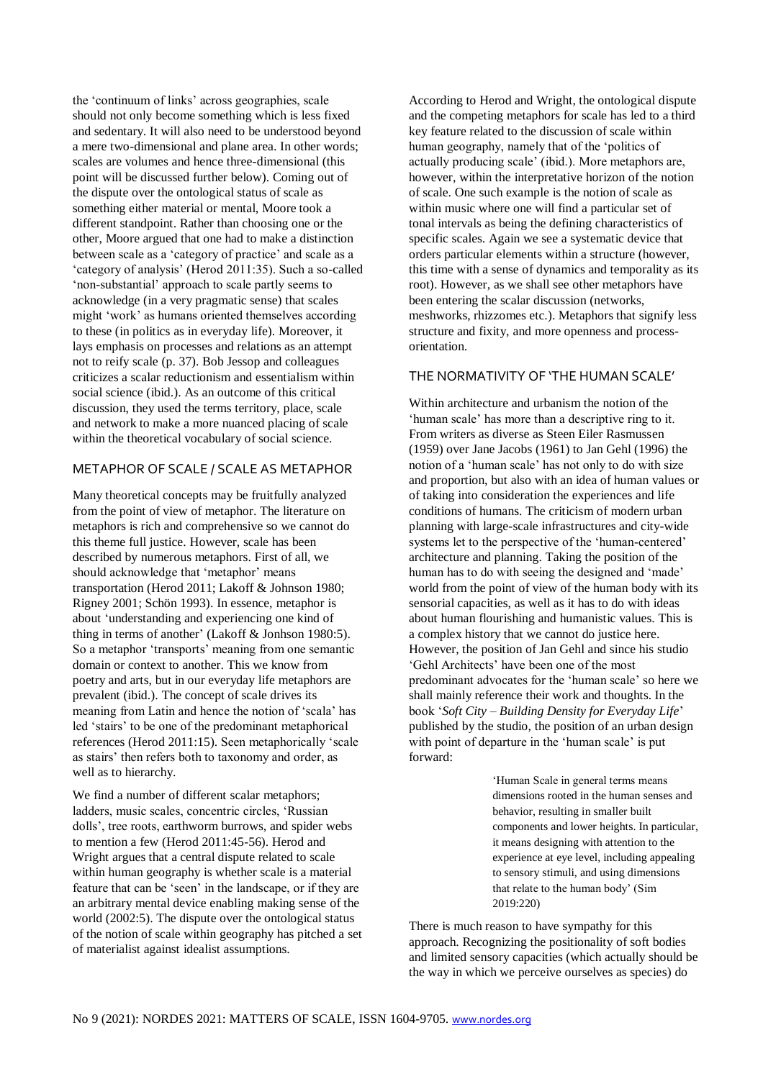the 'continuum of links' across geographies, scale should not only become something which is less fixed and sedentary. It will also need to be understood beyond a mere two-dimensional and plane area. In other words; scales are volumes and hence three-dimensional (this point will be discussed further below). Coming out of the dispute over the ontological status of scale as something either material or mental, Moore took a different standpoint. Rather than choosing one or the other, Moore argued that one had to make a distinction between scale as a 'category of practice' and scale as a 'category of analysis' (Herod 2011:35). Such a so-called 'non-substantial' approach to scale partly seems to acknowledge (in a very pragmatic sense) that scales might 'work' as humans oriented themselves according to these (in politics as in everyday life). Moreover, it lays emphasis on processes and relations as an attempt not to reify scale (p. 37). Bob Jessop and colleagues criticizes a scalar reductionism and essentialism within social science (ibid.). As an outcome of this critical discussion, they used the terms territory, place, scale and network to make a more nuanced placing of scale within the theoretical vocabulary of social science.

## METAPHOR OF SCALE / SCALE AS METAPHOR

Many theoretical concepts may be fruitfully analyzed from the point of view of metaphor. The literature on metaphors is rich and comprehensive so we cannot do this theme full justice. However, scale has been described by numerous metaphors. First of all, we should acknowledge that 'metaphor' means transportation (Herod 2011; Lakoff & Johnson 1980; Rigney 2001; Schön 1993). In essence, metaphor is about 'understanding and experiencing one kind of thing in terms of another' (Lakoff & Jonhson 1980:5). So a metaphor 'transports' meaning from one semantic domain or context to another. This we know from poetry and arts, but in our everyday life metaphors are prevalent (ibid.). The concept of scale drives its meaning from Latin and hence the notion of 'scala' has led 'stairs' to be one of the predominant metaphorical references (Herod 2011:15). Seen metaphorically 'scale as stairs' then refers both to taxonomy and order, as well as to hierarchy.

We find a number of different scalar metaphors; ladders, music scales, concentric circles, 'Russian dolls', tree roots, earthworm burrows, and spider webs to mention a few (Herod 2011:45-56). Herod and Wright argues that a central dispute related to scale within human geography is whether scale is a material feature that can be 'seen' in the landscape, or if they are an arbitrary mental device enabling making sense of the world (2002:5). The dispute over the ontological status of the notion of scale within geography has pitched a set of materialist against idealist assumptions.

According to Herod and Wright, the ontological dispute and the competing metaphors for scale has led to a third key feature related to the discussion of scale within human geography, namely that of the 'politics of actually producing scale' (ibid.). More metaphors are, however, within the interpretative horizon of the notion of scale. One such example is the notion of scale as within music where one will find a particular set of tonal intervals as being the defining characteristics of specific scales. Again we see a systematic device that orders particular elements within a structure (however, this time with a sense of dynamics and temporality as its root). However, as we shall see other metaphors have been entering the scalar discussion (networks, meshworks, rhizzomes etc.). Metaphors that signify less structure and fixity, and more openness and processorientation.

#### THE NORMATIVITY OF 'THE HUMAN SCALE'

Within architecture and urbanism the notion of the 'human scale' has more than a descriptive ring to it. From writers as diverse as Steen Eiler Rasmussen (1959) over Jane Jacobs (1961) to Jan Gehl (1996) the notion of a 'human scale' has not only to do with size and proportion, but also with an idea of human values or of taking into consideration the experiences and life conditions of humans. The criticism of modern urban planning with large-scale infrastructures and city-wide systems let to the perspective of the 'human-centered' architecture and planning. Taking the position of the human has to do with seeing the designed and 'made' world from the point of view of the human body with its sensorial capacities, as well as it has to do with ideas about human flourishing and humanistic values. This is a complex history that we cannot do justice here. However, the position of Jan Gehl and since his studio 'Gehl Architects' have been one of the most predominant advocates for the 'human scale' so here we shall mainly reference their work and thoughts. In the book '*Soft City – Building Density for Everyday Life*' published by the studio, the position of an urban design with point of departure in the 'human scale' is put forward:

> 'Human Scale in general terms means dimensions rooted in the human senses and behavior, resulting in smaller built components and lower heights. In particular, it means designing with attention to the experience at eye level, including appealing to sensory stimuli, and using dimensions that relate to the human body' (Sim 2019:220)

There is much reason to have sympathy for this approach. Recognizing the positionality of soft bodies and limited sensory capacities (which actually should be the way in which we perceive ourselves as species) do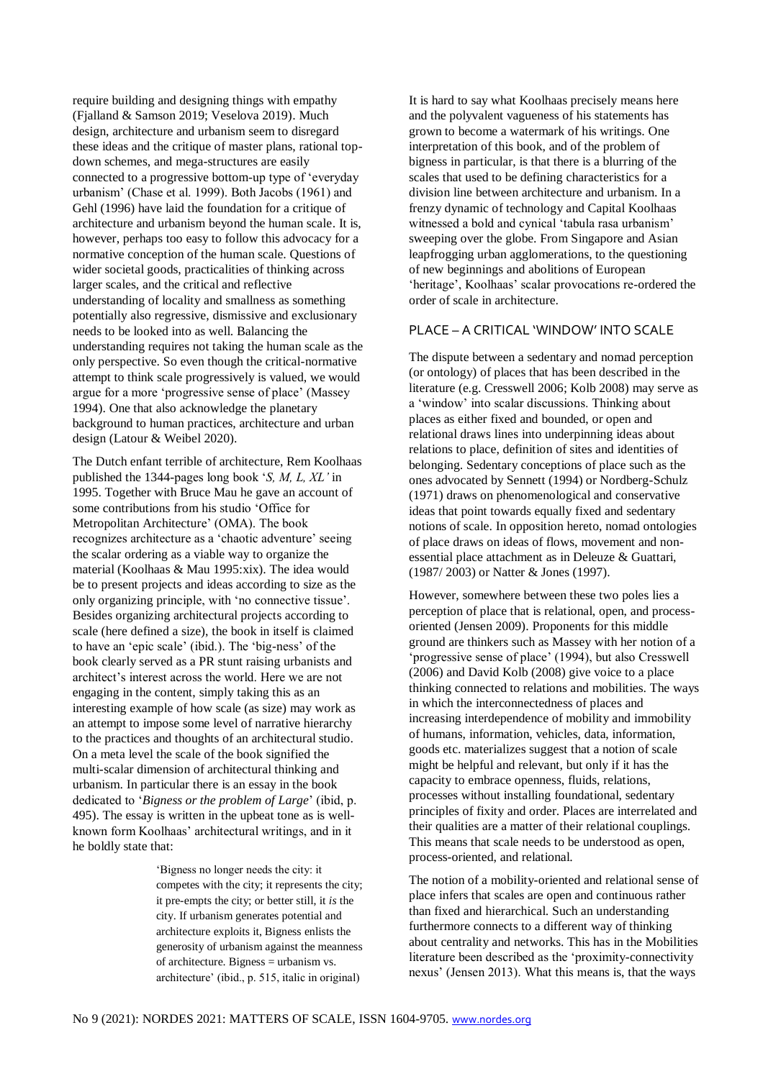require building and designing things with empathy (Fjalland & Samson 2019; Veselova 2019). Much design, architecture and urbanism seem to disregard these ideas and the critique of master plans, rational topdown schemes, and mega-structures are easily connected to a progressive bottom-up type of 'everyday urbanism' (Chase et al. 1999). Both Jacobs (1961) and Gehl (1996) have laid the foundation for a critique of architecture and urbanism beyond the human scale. It is, however, perhaps too easy to follow this advocacy for a normative conception of the human scale. Questions of wider societal goods, practicalities of thinking across larger scales, and the critical and reflective understanding of locality and smallness as something potentially also regressive, dismissive and exclusionary needs to be looked into as well. Balancing the understanding requires not taking the human scale as the only perspective. So even though the critical-normative attempt to think scale progressively is valued, we would argue for a more 'progressive sense of place' (Massey 1994). One that also acknowledge the planetary background to human practices, architecture and urban design (Latour & Weibel 2020).

The Dutch enfant terrible of architecture, Rem Koolhaas published the 1344-pages long book '*S, M, L, XL'* in 1995. Together with Bruce Mau he gave an account of some contributions from his studio 'Office for Metropolitan Architecture' (OMA). The book recognizes architecture as a 'chaotic adventure' seeing the scalar ordering as a viable way to organize the material (Koolhaas & Mau 1995:xix). The idea would be to present projects and ideas according to size as the only organizing principle, with 'no connective tissue'. Besides organizing architectural projects according to scale (here defined a size), the book in itself is claimed to have an 'epic scale' (ibid.). The 'big-ness' of the book clearly served as a PR stunt raising urbanists and architect's interest across the world. Here we are not engaging in the content, simply taking this as an interesting example of how scale (as size) may work as an attempt to impose some level of narrative hierarchy to the practices and thoughts of an architectural studio. On a meta level the scale of the book signified the multi-scalar dimension of architectural thinking and urbanism. In particular there is an essay in the book dedicated to '*Bigness or the problem of Large*' (ibid, p. 495). The essay is written in the upbeat tone as is wellknown form Koolhaas' architectural writings, and in it he boldly state that:

> 'Bigness no longer needs the city: it competes with the city; it represents the city; it pre-empts the city; or better still, it *is* the city. If urbanism generates potential and architecture exploits it, Bigness enlists the generosity of urbanism against the meanness of architecture. Bigness = urbanism vs. architecture' (ibid., p. 515, italic in original)

It is hard to say what Koolhaas precisely means here and the polyvalent vagueness of his statements has grown to become a watermark of his writings. One interpretation of this book, and of the problem of bigness in particular, is that there is a blurring of the scales that used to be defining characteristics for a division line between architecture and urbanism. In a frenzy dynamic of technology and Capital Koolhaas witnessed a bold and cynical 'tabula rasa urbanism' sweeping over the globe. From Singapore and Asian leapfrogging urban agglomerations, to the questioning of new beginnings and abolitions of European 'heritage', Koolhaas' scalar provocations re-ordered the order of scale in architecture.

## PLACE – A CRITICAL 'WINDOW' INTO SCALE

The dispute between a sedentary and nomad perception (or ontology) of places that has been described in the literature (e.g. Cresswell 2006; Kolb 2008) may serve as a 'window' into scalar discussions. Thinking about places as either fixed and bounded, or open and relational draws lines into underpinning ideas about relations to place, definition of sites and identities of belonging. Sedentary conceptions of place such as the ones advocated by Sennett (1994) or Nordberg-Schulz (1971) draws on phenomenological and conservative ideas that point towards equally fixed and sedentary notions of scale. In opposition hereto, nomad ontologies of place draws on ideas of flows, movement and nonessential place attachment as in Deleuze & Guattari, (1987/ 2003) or Natter & Jones (1997).

However, somewhere between these two poles lies a perception of place that is relational, open, and processoriented (Jensen 2009). Proponents for this middle ground are thinkers such as Massey with her notion of a 'progressive sense of place' (1994), but also Cresswell (2006) and David Kolb (2008) give voice to a place thinking connected to relations and mobilities. The ways in which the interconnectedness of places and increasing interdependence of mobility and immobility of humans, information, vehicles, data, information, goods etc. materializes suggest that a notion of scale might be helpful and relevant, but only if it has the capacity to embrace openness, fluids, relations, processes without installing foundational, sedentary principles of fixity and order. Places are interrelated and their qualities are a matter of their relational couplings. This means that scale needs to be understood as open, process-oriented, and relational.

The notion of a mobility-oriented and relational sense of place infers that scales are open and continuous rather than fixed and hierarchical. Such an understanding furthermore connects to a different way of thinking about centrality and networks. This has in the Mobilities literature been described as the 'proximity-connectivity nexus' (Jensen 2013). What this means is, that the ways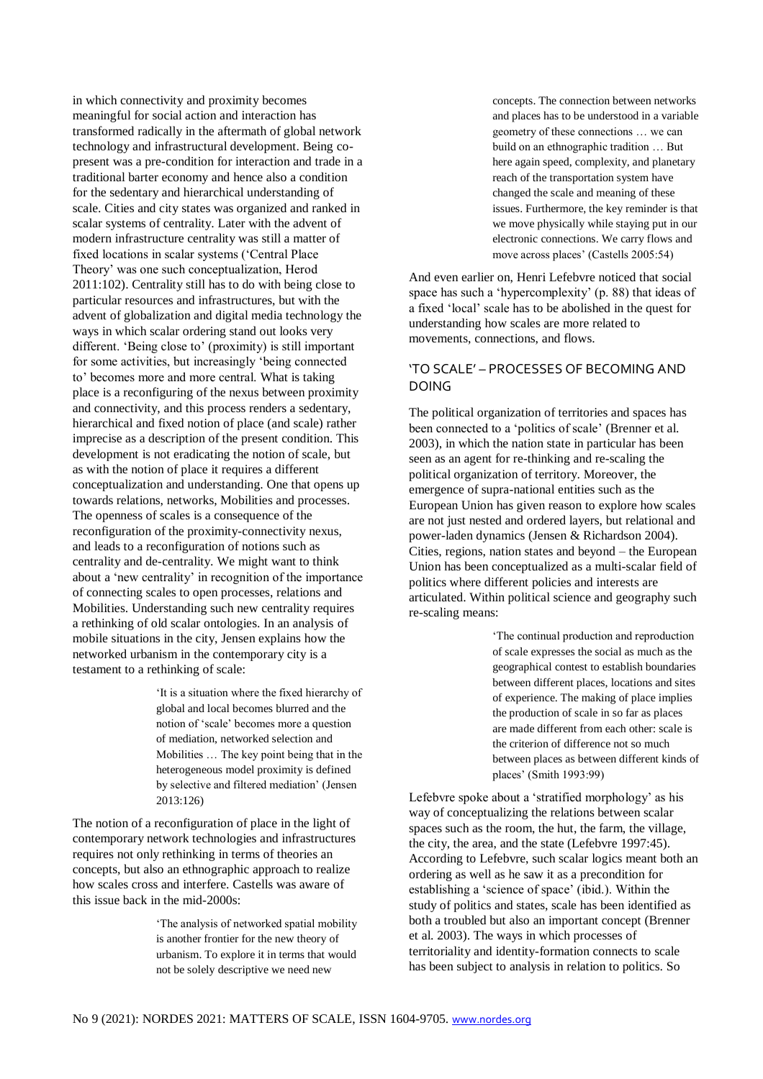in which connectivity and proximity becomes meaningful for social action and interaction has transformed radically in the aftermath of global network technology and infrastructural development. Being copresent was a pre-condition for interaction and trade in a traditional barter economy and hence also a condition for the sedentary and hierarchical understanding of scale. Cities and city states was organized and ranked in scalar systems of centrality. Later with the advent of modern infrastructure centrality was still a matter of fixed locations in scalar systems ('Central Place Theory' was one such conceptualization, Herod 2011:102). Centrality still has to do with being close to particular resources and infrastructures, but with the advent of globalization and digital media technology the ways in which scalar ordering stand out looks very different. 'Being close to' (proximity) is still important for some activities, but increasingly 'being connected to' becomes more and more central. What is taking place is a reconfiguring of the nexus between proximity and connectivity, and this process renders a sedentary, hierarchical and fixed notion of place (and scale) rather imprecise as a description of the present condition. This development is not eradicating the notion of scale, but as with the notion of place it requires a different conceptualization and understanding. One that opens up towards relations, networks, Mobilities and processes. The openness of scales is a consequence of the reconfiguration of the proximity-connectivity nexus, and leads to a reconfiguration of notions such as centrality and de-centrality. We might want to think about a 'new centrality' in recognition of the importance of connecting scales to open processes, relations and Mobilities. Understanding such new centrality requires a rethinking of old scalar ontologies. In an analysis of mobile situations in the city, Jensen explains how the networked urbanism in the contemporary city is a testament to a rethinking of scale:

> 'It is a situation where the fixed hierarchy of global and local becomes blurred and the notion of 'scale' becomes more a question of mediation, networked selection and Mobilities … The key point being that in the heterogeneous model proximity is defined by selective and filtered mediation' (Jensen 2013:126)

The notion of a reconfiguration of place in the light of contemporary network technologies and infrastructures requires not only rethinking in terms of theories an concepts, but also an ethnographic approach to realize how scales cross and interfere. Castells was aware of this issue back in the mid-2000s:

> 'The analysis of networked spatial mobility is another frontier for the new theory of urbanism. To explore it in terms that would not be solely descriptive we need new

concepts. The connection between networks and places has to be understood in a variable geometry of these connections … we can build on an ethnographic tradition … But here again speed, complexity, and planetary reach of the transportation system have changed the scale and meaning of these issues. Furthermore, the key reminder is that we move physically while staying put in our electronic connections. We carry flows and move across places' (Castells 2005:54)

And even earlier on, Henri Lefebvre noticed that social space has such a 'hypercomplexity' (p. 88) that ideas of a fixed 'local' scale has to be abolished in the quest for understanding how scales are more related to movements, connections, and flows.

## 'TO SCALE' – PROCESSES OF BECOMING AND DOING

The political organization of territories and spaces has been connected to a 'politics of scale' (Brenner et al. 2003), in which the nation state in particular has been seen as an agent for re-thinking and re-scaling the political organization of territory. Moreover, the emergence of supra-national entities such as the European Union has given reason to explore how scales are not just nested and ordered layers, but relational and power-laden dynamics (Jensen & Richardson 2004). Cities, regions, nation states and beyond – the European Union has been conceptualized as a multi-scalar field of politics where different policies and interests are articulated. Within political science and geography such re-scaling means:

> 'The continual production and reproduction of scale expresses the social as much as the geographical contest to establish boundaries between different places, locations and sites of experience. The making of place implies the production of scale in so far as places are made different from each other: scale is the criterion of difference not so much between places as between different kinds of places' (Smith 1993:99)

Lefebvre spoke about a 'stratified morphology' as his way of conceptualizing the relations between scalar spaces such as the room, the hut, the farm, the village, the city, the area, and the state (Lefebvre 1997:45). According to Lefebvre, such scalar logics meant both an ordering as well as he saw it as a precondition for establishing a 'science of space' (ibid.). Within the study of politics and states, scale has been identified as both a troubled but also an important concept (Brenner et al. 2003). The ways in which processes of territoriality and identity-formation connects to scale has been subject to analysis in relation to politics. So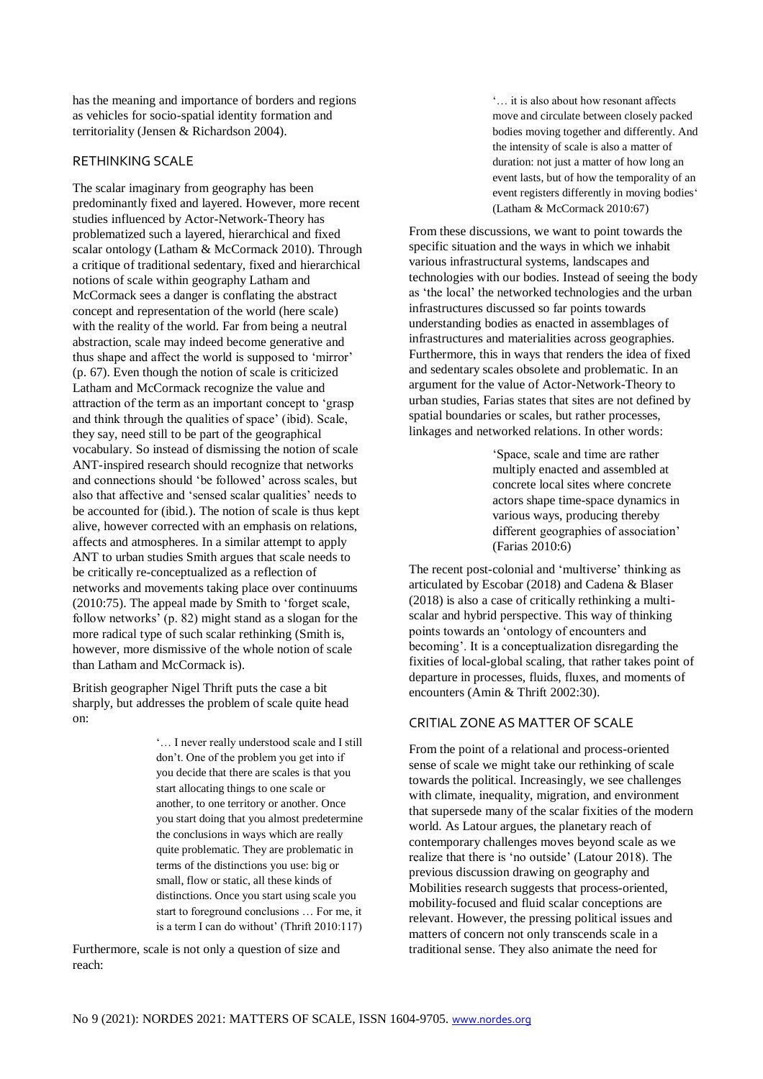has the meaning and importance of borders and regions as vehicles for socio-spatial identity formation and territoriality (Jensen & Richardson 2004).

#### RETHINKING SCALE

The scalar imaginary from geography has been predominantly fixed and layered. However, more recent studies influenced by Actor-Network-Theory has problematized such a layered, hierarchical and fixed scalar ontology (Latham & McCormack 2010). Through a critique of traditional sedentary, fixed and hierarchical notions of scale within geography Latham and McCormack sees a danger is conflating the abstract concept and representation of the world (here scale) with the reality of the world. Far from being a neutral abstraction, scale may indeed become generative and thus shape and affect the world is supposed to 'mirror' (p. 67). Even though the notion of scale is criticized Latham and McCormack recognize the value and attraction of the term as an important concept to 'grasp and think through the qualities of space' (ibid). Scale, they say, need still to be part of the geographical vocabulary. So instead of dismissing the notion of scale ANT-inspired research should recognize that networks and connections should 'be followed' across scales, but also that affective and 'sensed scalar qualities' needs to be accounted for (ibid.). The notion of scale is thus kept alive, however corrected with an emphasis on relations, affects and atmospheres. In a similar attempt to apply ANT to urban studies Smith argues that scale needs to be critically re-conceptualized as a reflection of networks and movements taking place over continuums (2010:75). The appeal made by Smith to 'forget scale, follow networks' (p. 82) might stand as a slogan for the more radical type of such scalar rethinking (Smith is, however, more dismissive of the whole notion of scale than Latham and McCormack is).

British geographer Nigel Thrift puts the case a bit sharply, but addresses the problem of scale quite head on:

> '… I never really understood scale and I still don't. One of the problem you get into if you decide that there are scales is that you start allocating things to one scale or another, to one territory or another. Once you start doing that you almost predetermine the conclusions in ways which are really quite problematic. They are problematic in terms of the distinctions you use: big or small, flow or static, all these kinds of distinctions. Once you start using scale you start to foreground conclusions … For me, it is a term I can do without' (Thrift 2010:117)

Furthermore, scale is not only a question of size and reach:

'… it is also about how resonant affects move and circulate between closely packed bodies moving together and differently. And the intensity of scale is also a matter of duration: not just a matter of how long an event lasts, but of how the temporality of an event registers differently in moving bodies' (Latham & McCormack 2010:67)

From these discussions, we want to point towards the specific situation and the ways in which we inhabit various infrastructural systems, landscapes and technologies with our bodies. Instead of seeing the body as 'the local' the networked technologies and the urban infrastructures discussed so far points towards understanding bodies as enacted in assemblages of infrastructures and materialities across geographies. Furthermore, this in ways that renders the idea of fixed and sedentary scales obsolete and problematic. In an argument for the value of Actor-Network-Theory to urban studies, Farias states that sites are not defined by spatial boundaries or scales, but rather processes, linkages and networked relations. In other words:

> 'Space, scale and time are rather multiply enacted and assembled at concrete local sites where concrete actors shape time-space dynamics in various ways, producing thereby different geographies of association' (Farias 2010:6)

The recent post-colonial and 'multiverse' thinking as articulated by Escobar (2018) and Cadena & Blaser (2018) is also a case of critically rethinking a multiscalar and hybrid perspective. This way of thinking points towards an 'ontology of encounters and becoming'. It is a conceptualization disregarding the fixities of local-global scaling, that rather takes point of departure in processes, fluids, fluxes, and moments of encounters (Amin & Thrift 2002:30).

## CRITIAL ZONE AS MATTER OF SCALE

From the point of a relational and process-oriented sense of scale we might take our rethinking of scale towards the political. Increasingly, we see challenges with climate, inequality, migration, and environment that supersede many of the scalar fixities of the modern world. As Latour argues, the planetary reach of contemporary challenges moves beyond scale as we realize that there is 'no outside' (Latour 2018). The previous discussion drawing on geography and Mobilities research suggests that process-oriented, mobility-focused and fluid scalar conceptions are relevant. However, the pressing political issues and matters of concern not only transcends scale in a traditional sense. They also animate the need for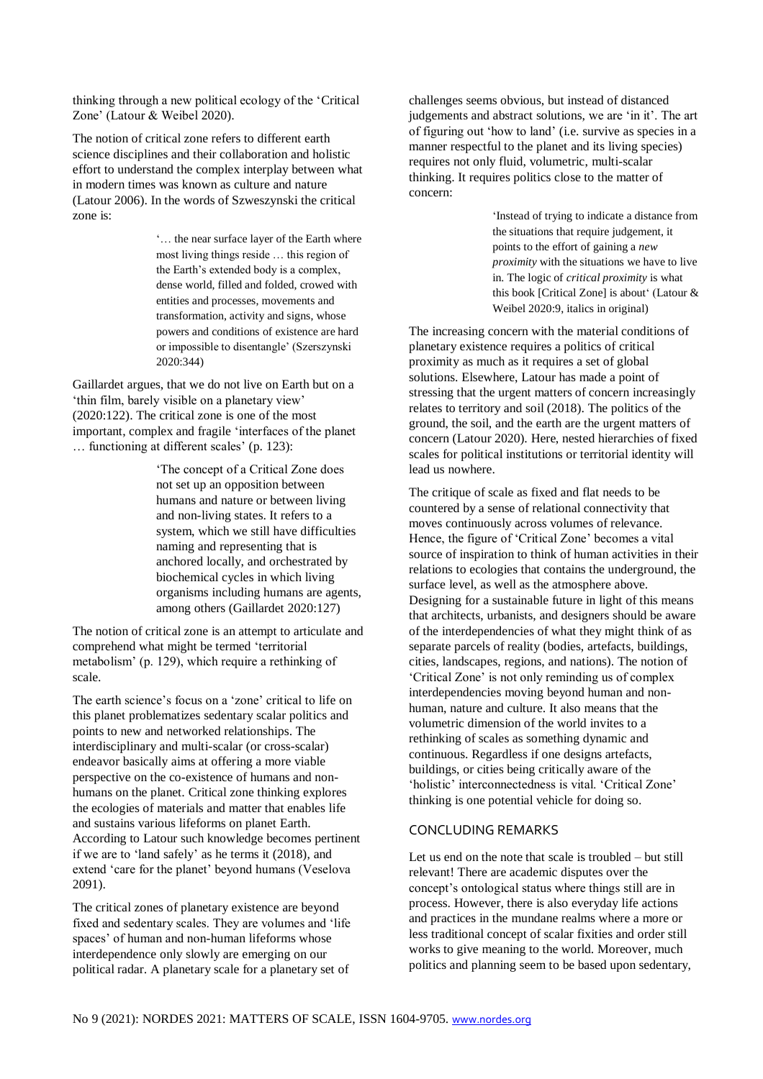thinking through a new political ecology of the 'Critical Zone' (Latour & Weibel 2020).

The notion of critical zone refers to different earth science disciplines and their collaboration and holistic effort to understand the complex interplay between what in modern times was known as culture and nature (Latour 2006). In the words of Szweszynski the critical zone is:

> '… the near surface layer of the Earth where most living things reside … this region of the Earth's extended body is a complex, dense world, filled and folded, crowed with entities and processes, movements and transformation, activity and signs, whose powers and conditions of existence are hard or impossible to disentangle' (Szerszynski 2020:344)

Gaillardet argues, that we do not live on Earth but on a 'thin film, barely visible on a planetary view' (2020:122). The critical zone is one of the most important, complex and fragile 'interfaces of the planet … functioning at different scales' (p. 123):

> 'The concept of a Critical Zone does not set up an opposition between humans and nature or between living and non-living states. It refers to a system, which we still have difficulties naming and representing that is anchored locally, and orchestrated by biochemical cycles in which living organisms including humans are agents, among others (Gaillardet 2020:127)

The notion of critical zone is an attempt to articulate and comprehend what might be termed 'territorial metabolism' (p. 129), which require a rethinking of scale.

The earth science's focus on a 'zone' critical to life on this planet problematizes sedentary scalar politics and points to new and networked relationships. The interdisciplinary and multi-scalar (or cross-scalar) endeavor basically aims at offering a more viable perspective on the co-existence of humans and nonhumans on the planet. Critical zone thinking explores the ecologies of materials and matter that enables life and sustains various lifeforms on planet Earth. According to Latour such knowledge becomes pertinent if we are to 'land safely' as he terms it (2018), and extend 'care for the planet' beyond humans (Veselova 2091).

The critical zones of planetary existence are beyond fixed and sedentary scales. They are volumes and 'life spaces' of human and non-human lifeforms whose interdependence only slowly are emerging on our political radar. A planetary scale for a planetary set of

challenges seems obvious, but instead of distanced judgements and abstract solutions, we are 'in it'. The art of figuring out 'how to land' (i.e. survive as species in a manner respectful to the planet and its living species) requires not only fluid, volumetric, multi-scalar thinking. It requires politics close to the matter of concern:

> 'Instead of trying to indicate a distance from the situations that require judgement, it points to the effort of gaining a *new proximity* with the situations we have to live in. The logic of *critical proximity* is what this book [Critical Zone] is about' (Latour & Weibel 2020:9, italics in original)

The increasing concern with the material conditions of planetary existence requires a politics of critical proximity as much as it requires a set of global solutions. Elsewhere, Latour has made a point of stressing that the urgent matters of concern increasingly relates to territory and soil (2018). The politics of the ground, the soil, and the earth are the urgent matters of concern (Latour 2020). Here, nested hierarchies of fixed scales for political institutions or territorial identity will lead us nowhere.

The critique of scale as fixed and flat needs to be countered by a sense of relational connectivity that moves continuously across volumes of relevance. Hence, the figure of 'Critical Zone' becomes a vital source of inspiration to think of human activities in their relations to ecologies that contains the underground, the surface level, as well as the atmosphere above. Designing for a sustainable future in light of this means that architects, urbanists, and designers should be aware of the interdependencies of what they might think of as separate parcels of reality (bodies, artefacts, buildings, cities, landscapes, regions, and nations). The notion of 'Critical Zone' is not only reminding us of complex interdependencies moving beyond human and nonhuman, nature and culture. It also means that the volumetric dimension of the world invites to a rethinking of scales as something dynamic and continuous. Regardless if one designs artefacts, buildings, or cities being critically aware of the 'holistic' interconnectedness is vital. 'Critical Zone' thinking is one potential vehicle for doing so.

#### CONCLUDING REMARKS

Let us end on the note that scale is troubled – but still relevant! There are academic disputes over the concept's ontological status where things still are in process. However, there is also everyday life actions and practices in the mundane realms where a more or less traditional concept of scalar fixities and order still works to give meaning to the world. Moreover, much politics and planning seem to be based upon sedentary,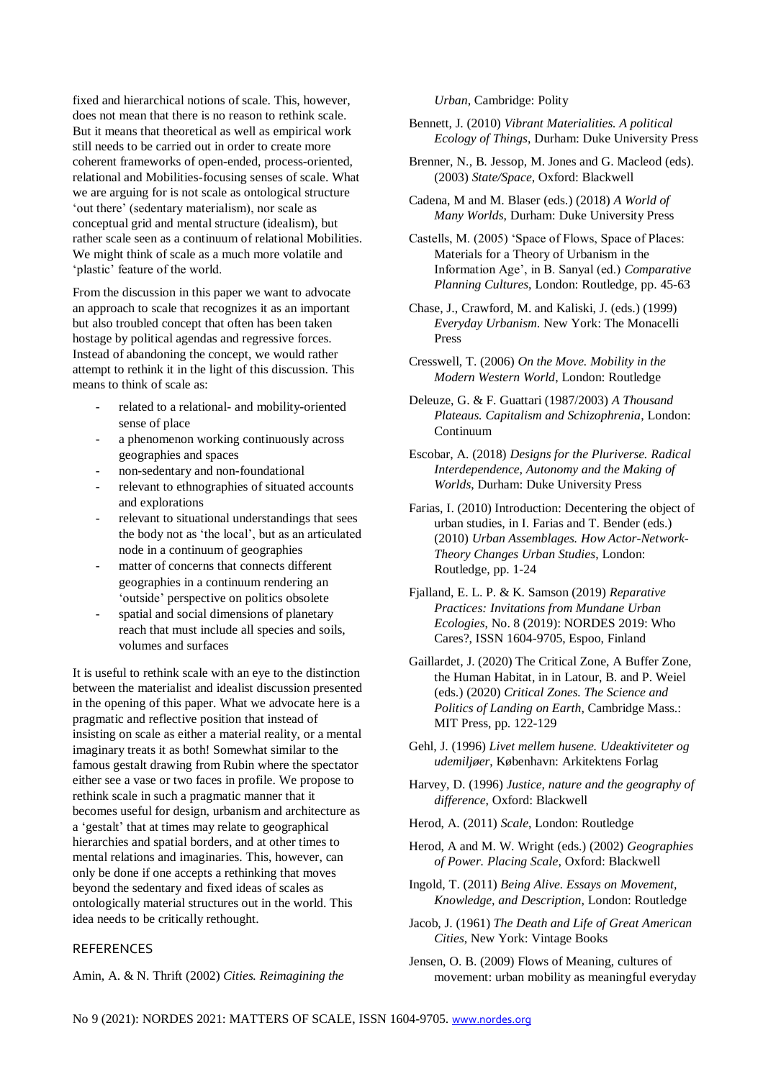fixed and hierarchical notions of scale. This, however, does not mean that there is no reason to rethink scale. But it means that theoretical as well as empirical work still needs to be carried out in order to create more coherent frameworks of open-ended, process-oriented, relational and Mobilities-focusing senses of scale. What we are arguing for is not scale as ontological structure 'out there' (sedentary materialism), nor scale as conceptual grid and mental structure (idealism), but rather scale seen as a continuum of relational Mobilities. We might think of scale as a much more volatile and 'plastic' feature of the world.

From the discussion in this paper we want to advocate an approach to scale that recognizes it as an important but also troubled concept that often has been taken hostage by political agendas and regressive forces. Instead of abandoning the concept, we would rather attempt to rethink it in the light of this discussion. This means to think of scale as:

- related to a relational- and mobility-oriented sense of place
- a phenomenon working continuously across geographies and spaces
- non-sedentary and non-foundational
- relevant to ethnographies of situated accounts and explorations
- relevant to situational understandings that sees the body not as 'the local', but as an articulated node in a continuum of geographies
- matter of concerns that connects different geographies in a continuum rendering an 'outside' perspective on politics obsolete
- spatial and social dimensions of planetary reach that must include all species and soils, volumes and surfaces

It is useful to rethink scale with an eye to the distinction between the materialist and idealist discussion presented in the opening of this paper. What we advocate here is a pragmatic and reflective position that instead of insisting on scale as either a material reality, or a mental imaginary treats it as both! Somewhat similar to the famous gestalt drawing from Rubin where the spectator either see a vase or two faces in profile. We propose to rethink scale in such a pragmatic manner that it becomes useful for design, urbanism and architecture as a 'gestalt' that at times may relate to geographical hierarchies and spatial borders, and at other times to mental relations and imaginaries. This, however, can only be done if one accepts a rethinking that moves beyond the sedentary and fixed ideas of scales as ontologically material structures out in the world. This idea needs to be critically rethought.

### REFERENCES

Amin, A. & N. Thrift (2002) *Cities. Reimagining the* 

*Urban*, Cambridge: Polity

- Bennett, J. (2010) *Vibrant Materialities. A political Ecology of Things*, Durham: Duke University Press
- Brenner, N., B. Jessop, M. Jones and G. Macleod (eds). (2003) *State/Space*, Oxford: Blackwell
- Cadena, M and M. Blaser (eds.) (2018) *A World of Many Worlds*, Durham: Duke University Press

Castells, M. (2005) 'Space of Flows, Space of Places: Materials for a Theory of Urbanism in the Information Age', in B. Sanyal (ed.) *Comparative Planning Cultures*, London: Routledge, pp. 45-63

- Chase, J., Crawford, M. and Kaliski, J. (eds.) (1999) *Everyday Urbanism*. New York: The Monacelli Press
- Cresswell, T. (2006) *On the Move. Mobility in the Modern Western World*, London: Routledge
- Deleuze, G. & F. Guattari (1987/2003) *A Thousand Plateaus. Capitalism and Schizophrenia*, London: Continuum
- Escobar, A. (2018) *Designs for the Pluriverse. Radical Interdependence, Autonomy and the Making of Worlds*, Durham: Duke University Press
- Farias, I. (2010) Introduction: Decentering the object of urban studies, in I. Farias and T. Bender (eds.) (2010) *Urban Assemblages. How Actor-Network-Theory Changes Urban Studies*, London: Routledge, pp. 1-24
- Fjalland, E. L. P. & K. Samson (2019) *Reparative Practices: Invitations from Mundane Urban Ecologies*, No. 8 (2019): NORDES 2019: Who Cares?, ISSN 1604-9705, Espoo, Finland
- Gaillardet, J. (2020) The Critical Zone, A Buffer Zone, the Human Habitat, in in Latour, B. and P. Weiel (eds.) (2020) *Critical Zones. The Science and Politics of Landing on Earth*, Cambridge Mass.: MIT Press, pp. 122-129
- Gehl, J. (1996) *Livet mellem husene. Udeaktiviteter og udemiljøer*, København: Arkitektens Forlag
- Harvey, D. (1996) *Justice, nature and the geography of difference*, Oxford: Blackwell
- Herod, A. (2011) *Scale*, London: Routledge
- Herod, A and M. W. Wright (eds.) (2002) *Geographies of Power. Placing Scale*, Oxford: Blackwell
- Ingold, T. (2011) *Being Alive. Essays on Movement, Knowledge, and Description*, London: Routledge
- Jacob, J. (1961) *The Death and Life of Great American Cities*, New York: Vintage Books
- Jensen, O. B. (2009) Flows of Meaning, cultures of movement: urban mobility as meaningful everyday